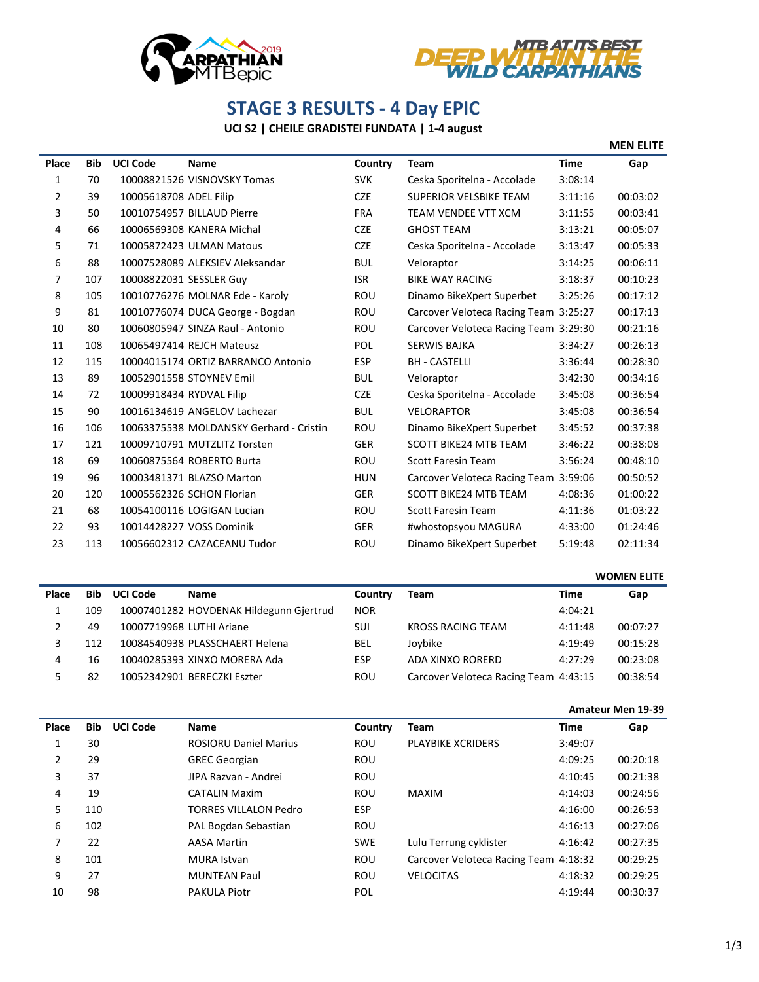



## **STAGE 3 RESULTS - 4 Day EPIC**

## **UCI S2 | CHEILE GRADISTEI FUNDATA | 1-4 august**

|       |            |                          |                                         |            |                                       |             | <b>MEN ELITE</b> |
|-------|------------|--------------------------|-----------------------------------------|------------|---------------------------------------|-------------|------------------|
| Place | <b>Bib</b> | <b>UCI Code</b>          | Name                                    | Country    | <b>Team</b>                           | <b>Time</b> | Gap              |
| 1     | 70         |                          | 10008821526 VISNOVSKY Tomas             | <b>SVK</b> | Ceska Sporitelna - Accolade           | 3:08:14     |                  |
| 2     | 39         | 10005618708 ADEL Filip   |                                         | <b>CZE</b> | <b>SUPERIOR VELSBIKE TEAM</b>         | 3:11:16     | 00:03:02         |
| 3     | 50         |                          | 10010754957 BILLAUD Pierre              | <b>FRA</b> | TEAM VENDEE VTT XCM                   | 3:11:55     | 00:03:41         |
| 4     | 66         |                          | 10006569308 KANERA Michal               | <b>CZE</b> | <b>GHOST TEAM</b>                     | 3:13:21     | 00:05:07         |
| 5     | 71         |                          | 10005872423 ULMAN Matous                | <b>CZE</b> | Ceska Sporitelna - Accolade           | 3:13:47     | 00:05:33         |
| 6     | 88         |                          | 10007528089 ALEKSIEV Aleksandar         | <b>BUL</b> | Veloraptor                            | 3:14:25     | 00:06:11         |
| 7     | 107        | 10008822031 SESSLER Guy  |                                         | <b>ISR</b> | <b>BIKE WAY RACING</b>                | 3:18:37     | 00:10:23         |
| 8     | 105        |                          | 10010776276 MOLNAR Ede - Karoly         | <b>ROU</b> | Dinamo BikeXpert Superbet             | 3:25:26     | 00:17:12         |
| 9     | 81         |                          | 10010776074 DUCA George - Bogdan        | ROU        | Carcover Veloteca Racing Team 3:25:27 |             | 00:17:13         |
| 10    | 80         |                          | 10060805947 SINZA Raul - Antonio        | <b>ROU</b> | Carcover Veloteca Racing Team 3:29:30 |             | 00:21:16         |
| 11    | 108        |                          | 10065497414 REJCH Mateusz               | <b>POL</b> | <b>SERWIS BAJKA</b>                   | 3:34:27     | 00:26:13         |
| 12    | 115        |                          | 10004015174 ORTIZ BARRANCO Antonio      | <b>ESP</b> | <b>BH - CASTELLI</b>                  | 3:36:44     | 00:28:30         |
| 13    | 89         |                          | 10052901558 STOYNEV Emil                | <b>BUL</b> | Veloraptor                            | 3:42:30     | 00:34:16         |
| 14    | 72         | 10009918434 RYDVAL Filip |                                         | <b>CZE</b> | Ceska Sporitelna - Accolade           | 3:45:08     | 00:36:54         |
| 15    | 90         |                          | 10016134619 ANGELOV Lachezar            | <b>BUL</b> | <b>VELORAPTOR</b>                     | 3:45:08     | 00:36:54         |
| 16    | 106        |                          | 10063375538 MOLDANSKY Gerhard - Cristin | <b>ROU</b> | Dinamo BikeXpert Superbet             | 3:45:52     | 00:37:38         |
| 17    | 121        |                          | 10009710791 MUTZLITZ Torsten            | <b>GER</b> | <b>SCOTT BIKE24 MTB TEAM</b>          | 3:46:22     | 00:38:08         |
| 18    | 69         |                          | 10060875564 ROBERTO Burta               | <b>ROU</b> | <b>Scott Faresin Team</b>             | 3:56:24     | 00:48:10         |
| 19    | 96         |                          | 10003481371 BLAZSO Marton               | <b>HUN</b> | Carcover Veloteca Racing Team 3:59:06 |             | 00:50:52         |
| 20    | 120        |                          | 10005562326 SCHON Florian               | <b>GER</b> | <b>SCOTT BIKE24 MTB TEAM</b>          | 4:08:36     | 01:00:22         |
| 21    | 68         |                          | 10054100116 LOGIGAN Lucian              | <b>ROU</b> | <b>Scott Faresin Team</b>             | 4:11:36     | 01:03:22         |
| 22    | 93         |                          | 10014428227 VOSS Dominik                | <b>GER</b> | #whostopsyou MAGURA                   | 4:33:00     | 01:24:46         |
| 23    | 113        |                          | 10056602312 CAZACEANU Tudor             | ROU        | Dinamo BikeXpert Superbet             | 5:19:48     | 02:11:34         |

|       |            |                          |                                         |            |                                       | <b>WOMEN ELITE</b> |          |
|-------|------------|--------------------------|-----------------------------------------|------------|---------------------------------------|--------------------|----------|
| Place | <b>Bib</b> | <b>UCI Code</b>          | <b>Name</b>                             | Country    | Team                                  | Time               | Gap      |
|       | 109        |                          | 10007401282 HOVDENAK Hildegunn Gjertrud | <b>NOR</b> |                                       | 4:04:21            |          |
| 2     | 49         | 10007719968 LUTHI Ariane |                                         | SUI        | <b>KROSS RACING TEAM</b>              | 4:11:48            | 00:07:27 |
| 3     | 112        |                          | 10084540938 PLASSCHAERT Helena          | <b>BEL</b> | Joybike                               | 4:19:49            | 00:15:28 |
| 4     | 16         |                          | 10040285393 XINXO MORERA Ada            | <b>ESP</b> | ADA XINXO RORERD                      | 4:27:29            | 00:23:08 |
| 5.    | 82         |                          | 10052342901 BERECZKI Eszter             | ROU        | Carcover Veloteca Racing Team 4:43:15 |                    | 00:38:54 |

## **Amateur Men 19-39**

| Place | <b>Bib</b> | <b>UCI Code</b> | <b>Name</b>                  | Country    | <b>Team</b>                           | Time    | Gap      |
|-------|------------|-----------------|------------------------------|------------|---------------------------------------|---------|----------|
|       | 30         |                 | <b>ROSIORU Daniel Marius</b> | <b>ROU</b> | <b>PLAYBIKE XCRIDERS</b>              | 3:49:07 |          |
| 2     | 29         |                 | <b>GREC Georgian</b>         | ROU        |                                       | 4:09:25 | 00:20:18 |
| 3     | 37         |                 | JIPA Razvan - Andrei         | <b>ROU</b> |                                       | 4:10:45 | 00:21:38 |
| 4     | 19         |                 | <b>CATALIN Maxim</b>         | <b>ROU</b> | <b>MAXIM</b>                          | 4:14:03 | 00:24:56 |
| 5     | 110        |                 | <b>TORRES VILLALON Pedro</b> | <b>ESP</b> |                                       | 4:16:00 | 00:26:53 |
| 6     | 102        |                 | PAL Bogdan Sebastian         | <b>ROU</b> |                                       | 4:16:13 | 00:27:06 |
| 7     | 22         |                 | <b>AASA Martin</b>           | <b>SWE</b> | Lulu Terrung cyklister                | 4:16:42 | 00:27:35 |
| 8     | 101        |                 | <b>MURA</b> Istvan           | <b>ROU</b> | Carcover Veloteca Racing Team 4:18:32 |         | 00:29:25 |
| 9     | 27         |                 | <b>MUNTEAN Paul</b>          | <b>ROU</b> | <b>VELOCITAS</b>                      | 4:18:32 | 00:29:25 |
| 10    | 98         |                 | <b>PAKULA Piotr</b>          | <b>POL</b> |                                       | 4:19:44 | 00:30:37 |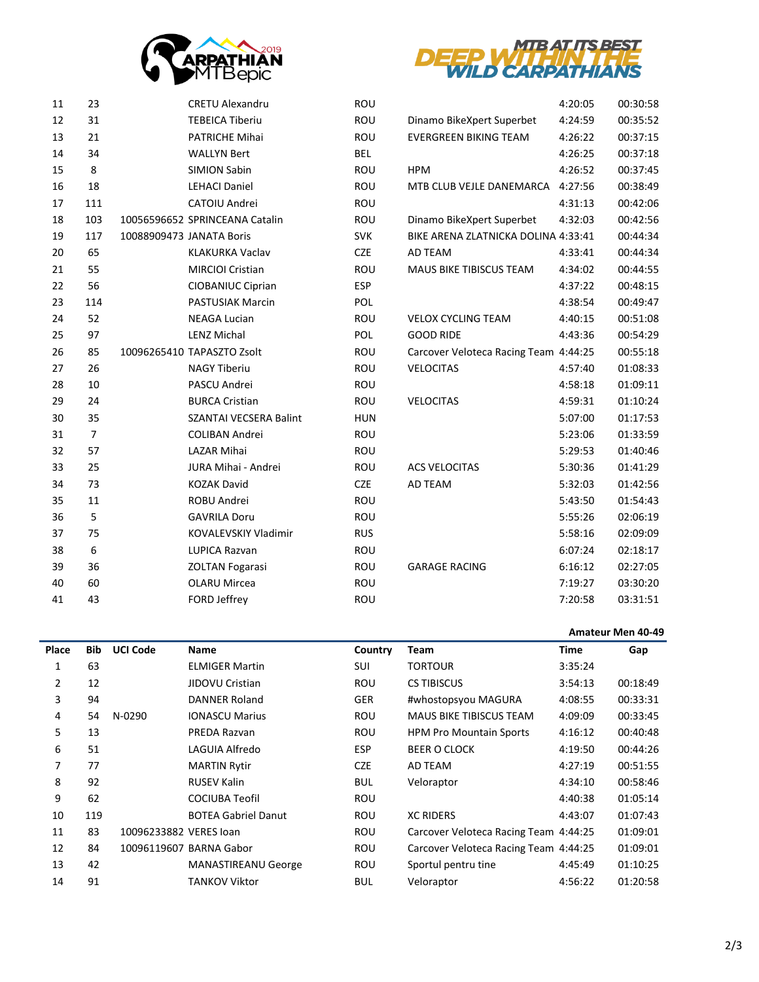



| 11 | 23             | <b>CRETU Alexandru</b>         | <b>ROU</b> |                                       | 4:20:05 | 00:30:58 |
|----|----------------|--------------------------------|------------|---------------------------------------|---------|----------|
| 12 | 31             | <b>TEBEICA Tiberiu</b>         | ROU        | Dinamo BikeXpert Superbet             | 4:24:59 | 00:35:52 |
| 13 | 21             | PATRICHE Mihai                 | ROU        | <b>EVERGREEN BIKING TEAM</b>          | 4:26:22 | 00:37:15 |
| 14 | 34             | <b>WALLYN Bert</b>             | <b>BEL</b> |                                       | 4:26:25 | 00:37:18 |
| 15 | 8              | <b>SIMION Sabin</b>            | ROU        | <b>HPM</b>                            | 4:26:52 | 00:37:45 |
| 16 | 18             | <b>LEHACI Daniel</b>           | ROU        | MTB CLUB VEJLE DANEMARCA              | 4:27:56 | 00:38:49 |
| 17 | 111            | CATOIU Andrei                  | ROU        |                                       | 4:31:13 | 00:42:06 |
| 18 | 103            | 10056596652 SPRINCEANA Catalin | ROU        | Dinamo BikeXpert Superbet             | 4:32:03 | 00:42:56 |
| 19 | 117            | 10088909473 JANATA Boris       | <b>SVK</b> | BIKE ARENA ZLATNICKA DOLINA 4:33:41   |         | 00:44:34 |
| 20 | 65             | <b>KLAKURKA Vaclav</b>         | <b>CZE</b> | AD TEAM                               | 4:33:41 | 00:44:34 |
| 21 | 55             | MIRCIOI Cristian               | ROU        | MAUS BIKE TIBISCUS TEAM               | 4:34:02 | 00:44:55 |
| 22 | 56             | <b>CIOBANIUC Ciprian</b>       | <b>ESP</b> |                                       | 4:37:22 | 00:48:15 |
| 23 | 114            | <b>PASTUSIAK Marcin</b>        | POL        |                                       | 4:38:54 | 00:49:47 |
| 24 | 52             | <b>NEAGA Lucian</b>            | ROU        | <b>VELOX CYCLING TEAM</b>             | 4:40:15 | 00:51:08 |
| 25 | 97             | <b>LENZ Michal</b>             | POL        | <b>GOOD RIDE</b>                      | 4:43:36 | 00:54:29 |
| 26 | 85             | 10096265410 TAPASZTO Zsolt     | ROU        | Carcover Veloteca Racing Team 4:44:25 |         | 00:55:18 |
| 27 | 26             | <b>NAGY Tiberiu</b>            | ROU        | <b>VELOCITAS</b>                      | 4:57:40 | 01:08:33 |
| 28 | 10             | PASCU Andrei                   | ROU        |                                       | 4:58:18 | 01:09:11 |
| 29 | 24             | <b>BURCA Cristian</b>          | ROU        | <b>VELOCITAS</b>                      | 4:59:31 | 01:10:24 |
| 30 | 35             | <b>SZANTAI VECSERA Balint</b>  | <b>HUN</b> |                                       | 5:07:00 | 01:17:53 |
| 31 | $\overline{7}$ | <b>COLIBAN Andrei</b>          | ROU        |                                       | 5:23:06 | 01:33:59 |
| 32 | 57             | <b>LAZAR Mihai</b>             | ROU        |                                       | 5:29:53 | 01:40:46 |
| 33 | 25             | JURA Mihai - Andrei            | ROU        | <b>ACS VELOCITAS</b>                  | 5:30:36 | 01:41:29 |
| 34 | 73             | <b>KOZAK David</b>             | <b>CZE</b> | AD TEAM                               | 5:32:03 | 01:42:56 |
| 35 | 11             | ROBU Andrei                    | ROU        |                                       | 5:43:50 | 01:54:43 |
| 36 | 5              | <b>GAVRILA Doru</b>            | ROU        |                                       | 5:55:26 | 02:06:19 |
| 37 | 75             | KOVALEVSKIY Vladimir           | <b>RUS</b> |                                       | 5:58:16 | 02:09:09 |
| 38 | 6              | <b>LUPICA Razvan</b>           | ROU        |                                       | 6:07:24 | 02:18:17 |
| 39 | 36             | <b>ZOLTAN Fogarasi</b>         | ROU        | <b>GARAGE RACING</b>                  | 6:16:12 | 02:27:05 |
| 40 | 60             | <b>OLARU Mircea</b>            | ROU        |                                       | 7:19:27 | 03:30:20 |
| 41 | 43             | FORD Jeffrey                   | ROU        |                                       | 7:20:58 | 03:31:51 |
|    |                |                                |            |                                       |         |          |

|       |            |                        |                            |            |                                       | Amateur Men 40-49 |          |  |
|-------|------------|------------------------|----------------------------|------------|---------------------------------------|-------------------|----------|--|
| Place | <b>Bib</b> | <b>UCI Code</b>        | Name                       | Country    | Team                                  | Time              | Gap      |  |
| 1     | 63         |                        | <b>ELMIGER Martin</b>      | SUI        | <b>TORTOUR</b>                        | 3:35:24           |          |  |
| 2     | 12         |                        | JIDOVU Cristian            | <b>ROU</b> | <b>CS TIBISCUS</b>                    | 3:54:13           | 00:18:49 |  |
| 3     | 94         |                        | DANNER Roland              | GER        | #whostopsyou MAGURA                   | 4:08:55           | 00:33:31 |  |
| 4     | 54         | N-0290                 | <b>IONASCU Marius</b>      | <b>ROU</b> | <b>MAUS BIKE TIBISCUS TEAM</b>        | 4:09:09           | 00:33:45 |  |
| 5     | 13         |                        | PREDA Razvan               | <b>ROU</b> | <b>HPM Pro Mountain Sports</b>        | 4:16:12           | 00:40:48 |  |
| 6     | 51         |                        | LAGUIA Alfredo             | <b>ESP</b> | <b>BEER O CLOCK</b>                   | 4:19:50           | 00:44:26 |  |
| 7     | 77         |                        | <b>MARTIN Rytir</b>        | <b>CZE</b> | AD TEAM                               | 4:27:19           | 00:51:55 |  |
| 8     | 92         |                        | <b>RUSEV Kalin</b>         | <b>BUL</b> | Veloraptor                            | 4:34:10           | 00:58:46 |  |
| 9     | 62         |                        | COCIUBA Teofil             | <b>ROU</b> |                                       | 4:40:38           | 01:05:14 |  |
| 10    | 119        |                        | <b>BOTEA Gabriel Danut</b> | <b>ROU</b> | <b>XC RIDERS</b>                      | 4:43:07           | 01:07:43 |  |
| 11    | 83         | 10096233882 VERES Joan |                            | <b>ROU</b> | Carcover Veloteca Racing Team 4:44:25 |                   | 01:09:01 |  |
| 12    | 84         |                        | 10096119607 BARNA Gabor    | ROU        | Carcover Veloteca Racing Team 4:44:25 |                   | 01:09:01 |  |
| 13    | 42         |                        | <b>MANASTIREANU George</b> | ROU        | Sportul pentru tine                   | 4:45:49           | 01:10:25 |  |
| 14    | 91         |                        | <b>TANKOV Viktor</b>       | <b>BUL</b> | Veloraptor                            | 4:56:22           | 01:20:58 |  |